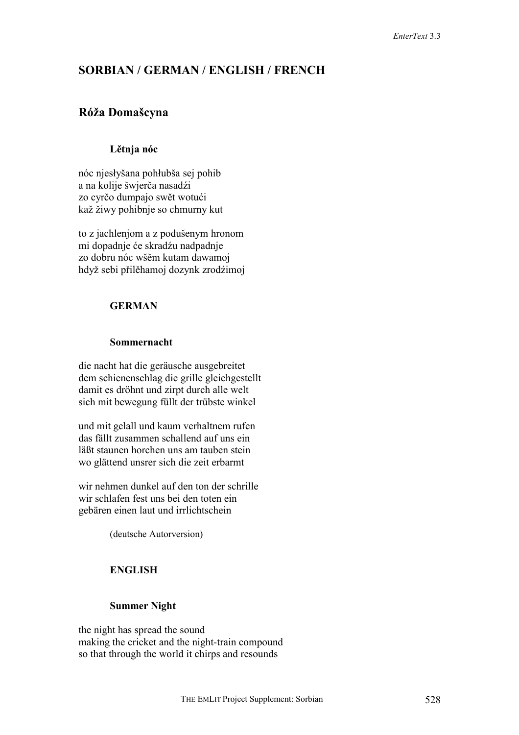# **SORBIAN / GERMAN / ENGLISH / FRENCH**

# **Róža Domašcyna**

## **Lětnja nóc**

nóc njesłyšana pohłubša sej pohib a na kolije šwjerča nasadźi zo cyrčo dumpajo swět wotući kaž žiwy pohibnje so chmurny kut

to z jachlenjom a z podušenym hronom mi dopadnje će skradźu nadpadnje zo dobru nóc wšěm kutam dawamoj hdyž sebi přilěhamoj dozynk zrodźimoj

## **GERMAN**

## **Sommernacht**

die nacht hat die geräusche ausgebreitet dem schienenschlag die grille gleichgestellt damit es dröhnt und zirpt durch alle welt sich mit bewegung füllt der trübste winkel

und mit gelall und kaum verhaltnem rufen das fällt zusammen schallend auf uns ein läßt staunen horchen uns am tauben stein wo glättend unsrer sich die zeit erbarmt

wir nehmen dunkel auf den ton der schrille wir schlafen fest uns bei den toten ein gebären einen laut und irrlichtschein

(deutsche Autorversion)

## **ENGLISH**

## **Summer Night**

the night has spread the sound making the cricket and the night-train compound so that through the world it chirps and resounds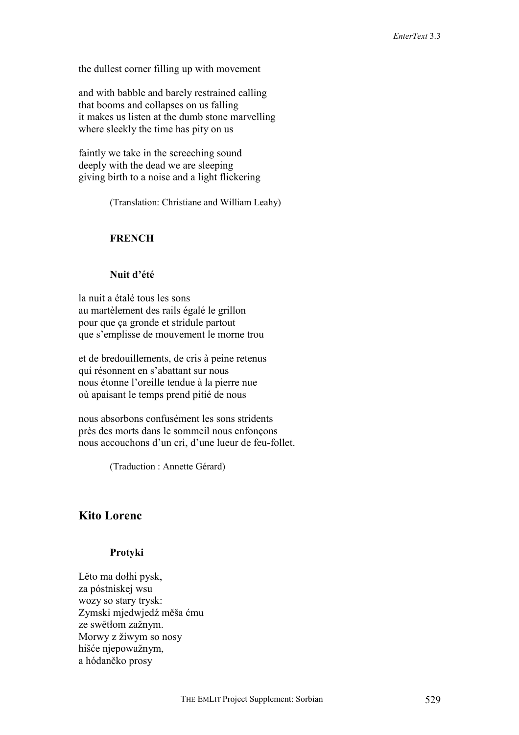the dullest corner filling up with movement

and with babble and barely restrained calling that booms and collapses on us falling it makes us listen at the dumb stone marvelling where sleekly the time has pity on us

faintly we take in the screeching sound deeply with the dead we are sleeping giving birth to a noise and a light flickering

(Translation: Christiane and William Leahy)

### **FRENCH**

## **Nuit d'été**

la nuit a étalé tous les sons au martèlement des rails égalé le grillon pour que ça gronde et stridule partout que s'emplisse de mouvement le morne trou

et de bredouillements, de cris à peine retenus qui résonnent en s'abattant sur nous nous étonne l'oreille tendue à la pierre nue où apaisant le temps prend pitié de nous

nous absorbons confusément les sons stridents près des morts dans le sommeil nous enfonçons nous accouchons d'un cri, d'une lueur de feu-follet.

(Traduction : Annette Gérard)

## **Kito Lorenc**

### **Protyki**

Lěto ma dołhi pysk, za póstniskej wsu wozy so stary trysk: Zymski mjedwjedź měša ćmu ze swětłom zažnym. Morwy z žiwym so nosy hišće njepowažnym, a hódančko prosy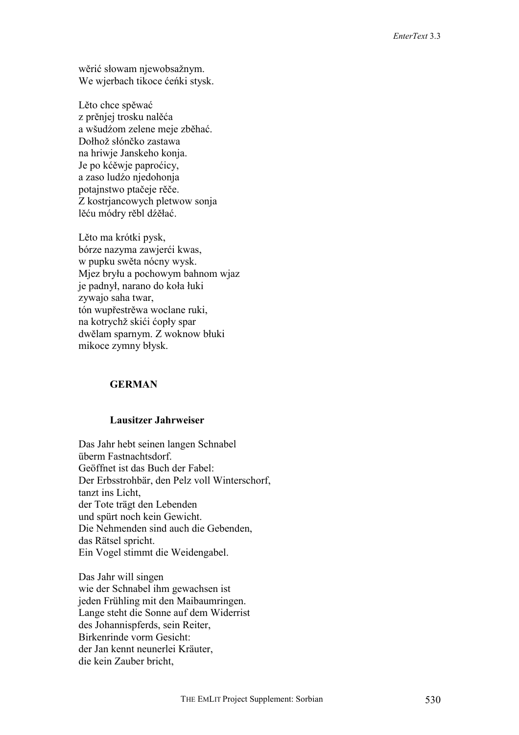wěrić słowam njewobsažnym. We wjerbach tikoce ćeńki stysk.

Lěto chce spěwać z prěnjej trosku nalěća a wšudźom zelene meje zběhać. Dołhož słónčko zastawa na hriwje Janskeho konja. Je po kćěwje paproćicy, a zaso ludźo njedohonja potajnstwo ptačeje rěče. Z kostrjancowych pletwow sonja lěću módry rěbl dźěłać.

Lěto ma krótki pysk, bórze nazyma zawjerći kwas, w pupku swěta nócny wysk. Mjez bryłu a pochowym bahnom wjaz je padnył, narano do koła łuki zywajo saha twar, tón wupřestrěwa woclane ruki, na kotrychž skići ćopły spar dwělam sparnym. Z woknow błuki mikoce zymny błysk.

## **GERMAN**

### **Lausitzer Jahrweiser**

Das Jahr hebt seinen langen Schnabel überm Fastnachtsdorf. Geöffnet ist das Buch der Fabel: Der Erbsstrohbär, den Pelz voll Winterschorf, tanzt ins Licht, der Tote trägt den Lebenden und spürt noch kein Gewicht. Die Nehmenden sind auch die Gebenden, das Rätsel spricht. Ein Vogel stimmt die Weidengabel.

Das Jahr will singen wie der Schnabel ihm gewachsen ist jeden Frühling mit den Maibaumringen. Lange steht die Sonne auf dem Widerrist des Johannispferds, sein Reiter, Birkenrinde vorm Gesicht: der Jan kennt neunerlei Kräuter, die kein Zauber bricht,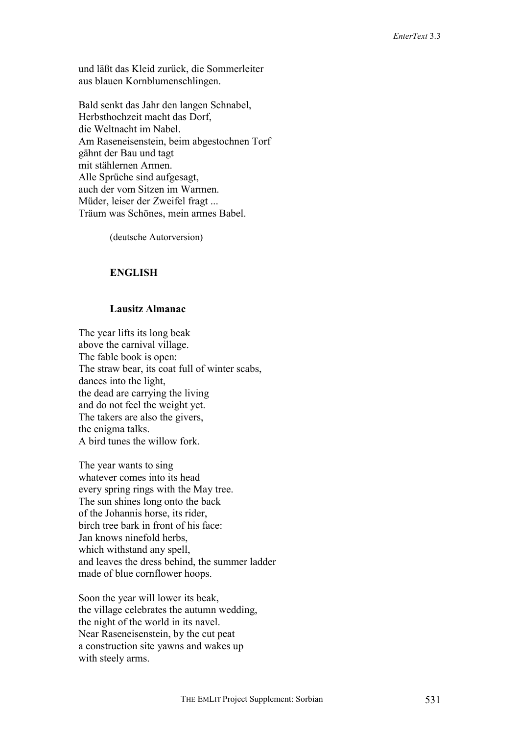und läßt das Kleid zurück, die Sommerleiter aus blauen Kornblumenschlingen.

Bald senkt das Jahr den langen Schnabel, Herbsthochzeit macht das Dorf, die Weltnacht im Nabel. Am Raseneisenstein, beim abgestochnen Torf gähnt der Bau und tagt mit stählernen Armen. Alle Sprüche sind aufgesagt, auch der vom Sitzen im Warmen. Müder, leiser der Zweifel fragt ... Träum was Schönes, mein armes Babel.

(deutsche Autorversion)

## **ENGLISH**

### **Lausitz Almanac**

The year lifts its long beak above the carnival village. The fable book is open: The straw bear, its coat full of winter scabs, dances into the light, the dead are carrying the living and do not feel the weight yet. The takers are also the givers, the enigma talks. A bird tunes the willow fork.

The year wants to sing whatever comes into its head every spring rings with the May tree. The sun shines long onto the back of the Johannis horse, its rider, birch tree bark in front of his face: Jan knows ninefold herbs, which withstand any spell, and leaves the dress behind, the summer ladder made of blue cornflower hoops.

Soon the year will lower its beak, the village celebrates the autumn wedding, the night of the world in its navel. Near Raseneisenstein, by the cut peat a construction site yawns and wakes up with steely arms.